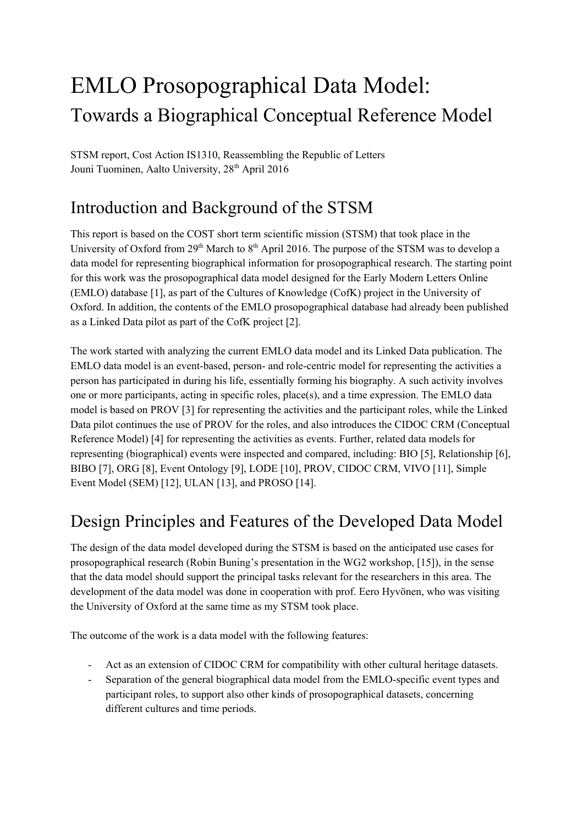# EMLO Prosopographical Data Model: Towards a Biographical Conceptual Reference Model

STSM report, Cost Action IS1310, Reassembling the Republic of Letters Jouni Tuominen, Aalto University, 28<sup>th</sup> April 2016

## Introduction and Background of the STSM

This report is based on the COST short term scientific mission (STSM) that took place in the University of Oxford from  $29<sup>th</sup>$  March to  $8<sup>th</sup>$  April 2016. The purpose of the STSM was to develop a data model for representing biographical information for prosopographical research. The starting point for this work was the prosopographical data model designed for the Early Modern Letters Online (EMLO) database [1], as part of the Cultures of Knowledge (CofK) project in the University of Oxford. In addition, the contents of the EMLO prosopographical database had already been published as a Linked Data pilot as part of the CofK project [2].

The work started with analyzing the current EMLO data model and its Linked Data publication. The EMLO data model is an event-based, person- and role-centric model for representing the activities a person has participated in during his life, essentially forming his biography. A such activity involves one or more participants, acting in specific roles, place(s), and a time expression. The EMLO data model is based on PROV [3] for representing the activities and the participant roles, while the Linked Data pilot continues the use of PROV for the roles, and also introduces the CIDOC CRM (Conceptual Reference Model) [4] for representing the activities as events. Further, related data models for representing (biographical) events were inspected and compared, including: BIO [5], Relationship [6], BIBO [7], ORG [8], Event Ontology [9], LODE [10], PROV, CIDOC CRM, VIVO [11], Simple Event Model (SEM) [12], ULAN [13], and PROSO [14].

## Design Principles and Features of the Developed Data Model

The design of the data model developed during the STSM is based on the anticipated use cases for prosopographical research (Robin Buning's presentation in the WG2 workshop, [15]), in the sense that the data model should support the principal tasks relevant for the researchers in this area. The development of the data model was done in cooperation with prof. Eero Hyvönen, who was visiting the University of Oxford at the same time as my STSM took place.

The outcome of the work is a data model with the following features:

- Act as an extension of CIDOC CRM for compatibility with other cultural heritage datasets.
- Separation of the general biographical data model from the EMLO-specific event types and participant roles, to support also other kinds of prosopographical datasets, concerning different cultures and time periods.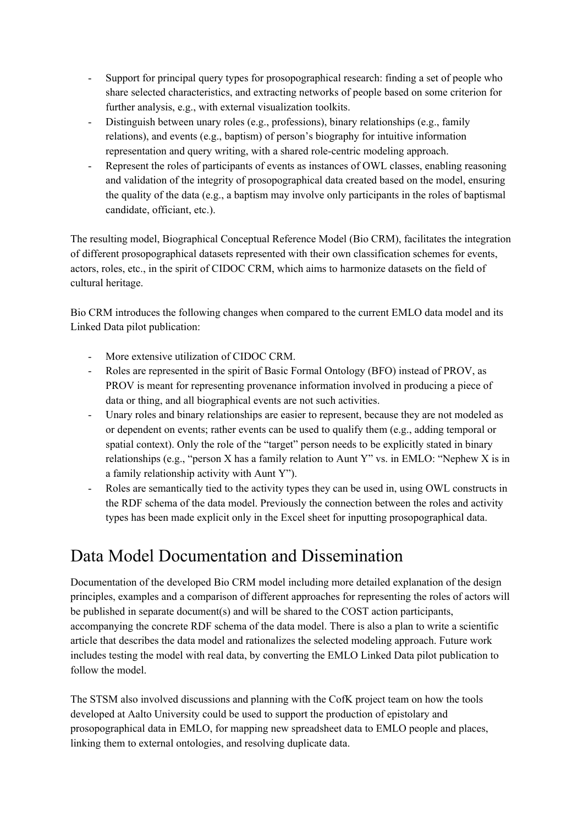- Support for principal query types for prosopographical research: finding a set of people who share selected characteristics, and extracting networks of people based on some criterion for further analysis, e.g., with external visualization toolkits.
- Distinguish between unary roles (e.g., professions), binary relationships (e.g., family relations), and events (e.g., baptism) of person's biography for intuitive information representation and query writing, with a shared role-centric modeling approach.
- Represent the roles of participants of events as instances of OWL classes, enabling reasoning and validation of the integrity of prosopographical data created based on the model, ensuring the quality of the data (e.g., a baptism may involve only participants in the roles of baptismal candidate, officiant, etc.).

The resulting model, Biographical Conceptual Reference Model (Bio CRM), facilitates the integration of different prosopographical datasets represented with their own classification schemes for events, actors, roles, etc., in the spirit of CIDOC CRM, which aims to harmonize datasets on the field of cultural heritage.

Bio CRM introduces the following changes when compared to the current EMLO data model and its Linked Data pilot publication:

- More extensive utilization of CIDOC CRM.
- Roles are represented in the spirit of Basic Formal Ontology (BFO) instead of PROV, as PROV is meant for representing provenance information involved in producing a piece of data or thing, and all biographical events are not such activities.
- Unary roles and binary relationships are easier to represent, because they are not modeled as or dependent on events; rather events can be used to qualify them (e.g., adding temporal or spatial context). Only the role of the "target" person needs to be explicitly stated in binary relationships (e.g., "person X has a family relation to Aunt Y" vs. in EMLO: "Nephew X is in a family relationship activity with Aunt Y").
- Roles are semantically tied to the activity types they can be used in, using OWL constructs in the RDF schema of the data model. Previously the connection between the roles and activity types has been made explicit only in the Excel sheet for inputting prosopographical data.

### Data Model Documentation and Dissemination

Documentation of the developed Bio CRM model including more detailed explanation of the design principles, examples and a comparison of different approaches for representing the roles of actors will be published in separate document(s) and will be shared to the COST action participants, accompanying the concrete RDF schema of the data model. There is also a plan to write a scientific article that describes the data model and rationalizes the selected modeling approach. Future work includes testing the model with real data, by converting the EMLO Linked Data pilot publication to follow the model.

The STSM also involved discussions and planning with the CofK project team on how the tools developed at Aalto University could be used to support the production of epistolary and prosopographical data in EMLO, for mapping new spreadsheet data to EMLO people and places, linking them to external ontologies, and resolving duplicate data.